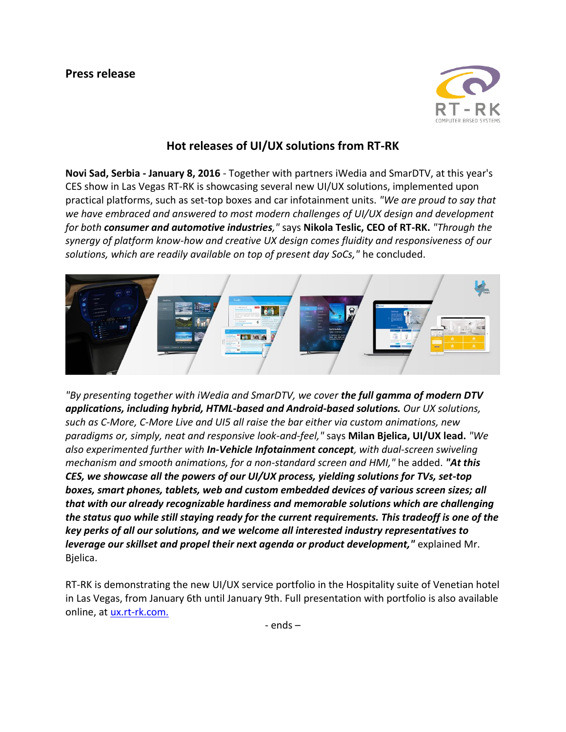

## **Hot releases of UI/UX solutions from RT-RK**

**Novi Sad, Serbia - January 8, 2016** - Together with partners iWedia and SmarDTV, at this year's CES show in Las Vegas RT-RK is showcasing several new UI/UX solutions, implemented upon practical platforms, such as set-top boxes and car infotainment units. *"We are proud to say that we have embraced and answered to most modern challenges of UI/UX design and development for both consumer and automotive industries,"* says **Nikola Teslic, CEO of RT-RK.** *"Through the synergy of platform know-how and creative UX design comes fluidity and responsiveness of our solutions, which are readily available on top of present day SoCs,"* he concluded.



*"By presenting together with iWedia and SmarDTV, we cover the full gamma of modern DTV applications, including hybrid, HTML-based and Android-based solutions. Our UX solutions, such as C-More, C-More Live and UI5 all raise the bar either via custom animations, new paradigms or, simply, neat and responsive look-and-feel,"* says **Milan Bjelica, UI/UX lead.** *"We also experimented further with In-Vehicle Infotainment concept, with dual-screen swiveling mechanism and smooth animations, for a non-standard screen and HMI,"* he added. *"At this CES, we showcase all the powers of our UI/UX process, yielding solutions for TVs, set-top boxes, smart phones, tablets, web and custom embedded devices of various screen sizes; all that with our already recognizable hardiness and memorable solutions which are challenging the status quo while still staying ready for the current requirements. This tradeoff is one of the key perks of all our solutions, and we welcome all interested industry representatives to leverage our skillset and propel their next agenda or product development,"* explained Mr. Bjelica.

RT-RK is demonstrating the new UI/UX service portfolio in the Hospitality suite of Venetian hotel in Las Vegas, from January 6th until January 9th. Full presentation with portfolio is also available online, at [ux.rt-rk.com.](http://ux.rt-rk.com./)